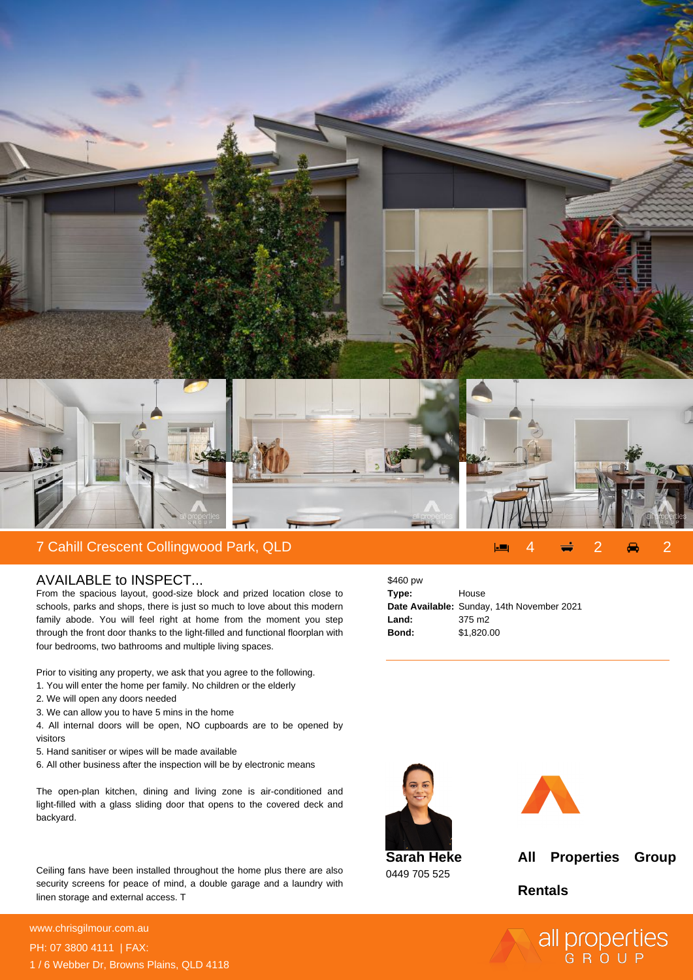

## AVAILABLE to INSPECT...

From the spacious layout, good-size block and prized location close to schools, parks and shops, there is just so much to love about this modern family abode. You will feel right at home from the moment you step through the front door thanks to the light-filled and functional floorplan with four bedrooms, two bathrooms and multiple living spaces.

Prior to visiting any property, we ask that you agree to the following.

- 1. You will enter the home per family. No children or the elderly
- 2. We will open any doors needed
- 3. We can allow you to have 5 mins in the home

4. All internal doors will be open, NO cupboards are to be opened by visitors

- 5. Hand sanitiser or wipes will be made available
- 6. All other business after the inspection will be by electronic means

The open-plan kitchen, dining and living zone is air-conditioned and light-filled with a glass sliding door that opens to the covered deck and backyard.

Ceiling fans have been installed throughout the home plus there are also security screens for peace of mind, a double garage and a laundry with linen storage and external access. T

**For more details please visit** www.chrisgilmour.com.au/66950040604<br>www.chrisgilmour.com.au PH: 07 3800 4111 | FAX: 1 / 6 Webber Dr, Browns Plains, QLD 4118

| \$460 pw |                                            |
|----------|--------------------------------------------|
| Type:    | House                                      |
|          | Date Available: Sunday, 14th November 2021 |
| Land:    | 375 m <sub>2</sub>                         |
| Bond:    | \$1,820.00                                 |





**Sarah Heke** 0449 705 525

**All Properties Group**

**Rentals**